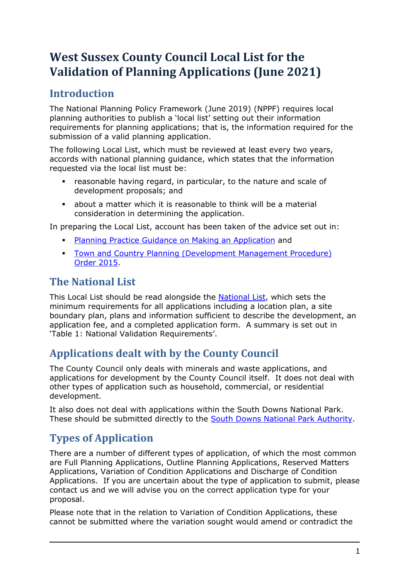# **West Sussex County Council Local List for the Validation of Planning Applications (June 2021)**

## **Introduction**

The National Planning Policy Framework (June 2019) (NPPF) requires local planning authorities to publish a 'local list' setting out their information requirements for planning applications; that is, the information required for the submission of a valid planning application.

The following Local List, which must be reviewed at least every two years, accords with national planning guidance, which states that the information requested via the local list must be:

- reasonable having regard, in particular, to the nature and scale of development proposals; and
- about a matter which it is reasonable to think will be a material consideration in determining the application.

In preparing the Local List, account has been taken of the advice set out in:

- [Planning Practice Guidance on Making an Application](https://www.gov.uk/guidance/making-an-application) and
- **Town and Country Planning (Development Management Procedure)** [Order 2015.](http://www.legislation.gov.uk/uksi/2015/595/contents/made)

# **The National List**

This Local List should be read alongside the [National List,](https://www.gov.uk/guidance/making-an-application#National-information-requirements) which sets the minimum requirements for all applications including a location plan, a site boundary plan, plans and information sufficient to describe the development, an application fee, and a completed application form. A summary is set out in 'Table [1: National Validation Requirements'](#page-2-0).

## **Applications dealt with by the County Council**

The County Council only deals with minerals and waste applications, and applications for development by the County Council itself. It does not deal with other types of application such as household, commercial, or residential development.

It also does not deal with applications within the South Downs National Park. These should be submitted directly to the [South Downs National Park Authority.](https://www.southdowns.gov.uk/)

# **Types of Application**

There are a number of different types of application, of which the most common are Full Planning Applications, Outline Planning Applications, Reserved Matters Applications, Variation of Condition Applications and Discharge of Condition Applications. If you are uncertain about the type of application to submit, please contact us and we will advise you on the correct application type for your proposal.

Please note that in the relation to Variation of Condition Applications, these cannot be submitted where the variation sought would amend or contradict the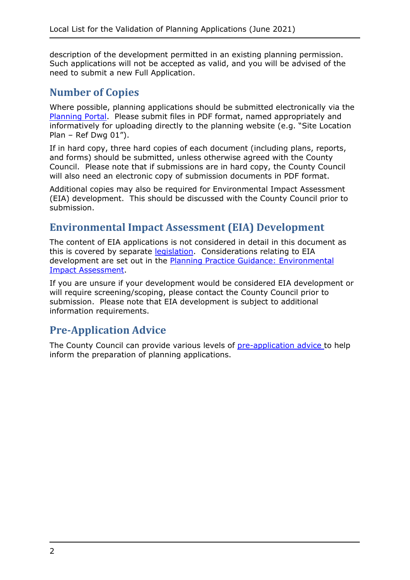description of the development permitted in an existing planning permission. Such applications will not be accepted as valid, and you will be advised of the need to submit a new Full Application.

### **Number of Copies**

Where possible, planning applications should be submitted electronically via the [Planning Portal.](https://www.planningportal.co.uk/) Please submit files in PDF format, named appropriately and informatively for uploading directly to the planning website (e.g. "Site Location Plan – Ref Dwg  $01$ ").

If in hard copy, three hard copies of each document (including plans, reports, and forms) should be submitted, unless otherwise agreed with the County Council. Please note that if submissions are in hard copy, the County Council will also need an electronic copy of submission documents in PDF format.

Additional copies may also be required for Environmental Impact Assessment (EIA) development. This should be discussed with the County Council prior to submission.

### **Environmental Impact Assessment (EIA) Development**

The content of EIA applications is not considered in detail in this document as this is covered by separate [legislation.](http://www.legislation.gov.uk/uksi/2017/571/contents/made) Considerations relating to EIA development are set out in the [Planning Practice Guidance: Environmental](https://www.gov.uk/guidance/environmental-impact-assessment)  [Impact Assessment.](https://www.gov.uk/guidance/environmental-impact-assessment)

If you are unsure if your development would be considered EIA development or will require screening/scoping, please contact the County Council prior to submission. Please note that EIA development is subject to additional information requirements.

### **Pre-Application Advice**

The County Council can provide various levels of [pre-application advice t](https://www.westsussex.gov.uk/planning/county-planning-pre-application-advice/)o help inform the preparation of planning applications.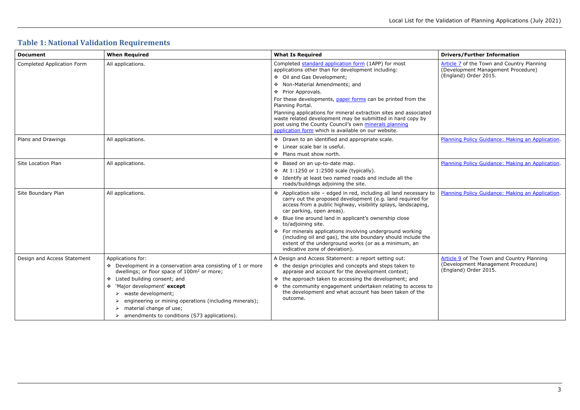## <span id="page-2-0"></span>**Table 1: National Validation Requirements**

[Article 7](http://www.legislation.gov.uk/uksi/2015/595/article/7/made) of the Town and Country Planning (Development Management Procedure) (England) Order 2015.

[Planning Policy Guidance: Making an Application.](https://www.gov.uk/guidance/making-an-application)

[Planning Policy Guidance: Making an Application.](https://www.gov.uk/guidance/making-an-application)

[Article 9](http://www.legislation.gov.uk/uksi/2015/595/article/9/made) of The Town and Country Planning (Development Management Procedure) (England) Order 2015.

| <b>Document</b>             | <b>When Required</b>                                                                                                  | <b>What Is Required</b>                                                                                                                                                                                                                         |
|-----------------------------|-----------------------------------------------------------------------------------------------------------------------|-------------------------------------------------------------------------------------------------------------------------------------------------------------------------------------------------------------------------------------------------|
| Completed Application Form  | All applications.                                                                                                     | Completed standard application form (1APP) for most<br>applications other than for development including:                                                                                                                                       |
|                             |                                                                                                                       | ❖ Oil and Gas Development;                                                                                                                                                                                                                      |
|                             |                                                                                                                       | Non-Material Amendments; and                                                                                                                                                                                                                    |
|                             |                                                                                                                       | ❖ Prior Approvals.                                                                                                                                                                                                                              |
|                             |                                                                                                                       | For these developments, paper forms can be printed from the<br>Planning Portal.                                                                                                                                                                 |
|                             |                                                                                                                       | Planning applications for mineral extraction sites and associated<br>waste related development may be submitted in hard copy by<br>post using the County Council's own minerals planning<br>application form which is available on our website. |
| Plans and Drawings          | All applications.                                                                                                     | * Drawn to an identified and appropriate scale.                                                                                                                                                                                                 |
|                             |                                                                                                                       | Linear scale bar is useful.<br>❖                                                                                                                                                                                                                |
|                             |                                                                                                                       | ❖ Plans must show north.                                                                                                                                                                                                                        |
| Site Location Plan          | All applications.                                                                                                     | ❖ Based on an up-to-date map.                                                                                                                                                                                                                   |
|                             |                                                                                                                       | ❖ At 1:1250 or 1:2500 scale (typically).                                                                                                                                                                                                        |
|                             |                                                                                                                       | * Identify at least two named roads and include all the<br>roads/buildings adjoining the site.                                                                                                                                                  |
| Site Boundary Plan          | All applications.                                                                                                     | ❖ Application site - edged in red, including all land necessary to<br>carry out the proposed development (e.g. land required for<br>access from a public highway, visibility splays, landscaping,<br>car parking, open areas).                  |
|                             |                                                                                                                       | * Blue line around land in applicant's ownership close<br>to/adjoining site.                                                                                                                                                                    |
|                             |                                                                                                                       | ❖ For minerals applications involving underground working<br>(including oil and gas), the site boundary should include the<br>extent of the underground works (or as a minimum, an<br>indicative zone of deviation).                            |
| Design and Access Statement | Applications for:                                                                                                     | A Design and Access Statement: a report setting out:                                                                                                                                                                                            |
|                             | Development in a conservation area consisting of 1 or more<br>dwellings; or floor space of 100m <sup>2</sup> or more; | ❖ the design principles and concepts and steps taken to<br>appraise and account for the development context;                                                                                                                                    |
|                             | Listed building consent; and<br>❖                                                                                     | the approach taken to accessing the development; and<br>❖                                                                                                                                                                                       |
|                             | 'Major development' except<br>❖                                                                                       | the community engagement undertaken relating to access to<br>❖                                                                                                                                                                                  |
|                             | waste development;<br>➤                                                                                               | the development and what account has been taken of the                                                                                                                                                                                          |
|                             | engineering or mining operations (including minerals);                                                                | outcome.                                                                                                                                                                                                                                        |
|                             | material change of use;                                                                                               |                                                                                                                                                                                                                                                 |
|                             | amendments to conditions (S73 applications).                                                                          |                                                                                                                                                                                                                                                 |

#### **Drivers/Further Information**

[Planning Policy Guidance: Making an Application.](https://www.gov.uk/guidance/making-an-application)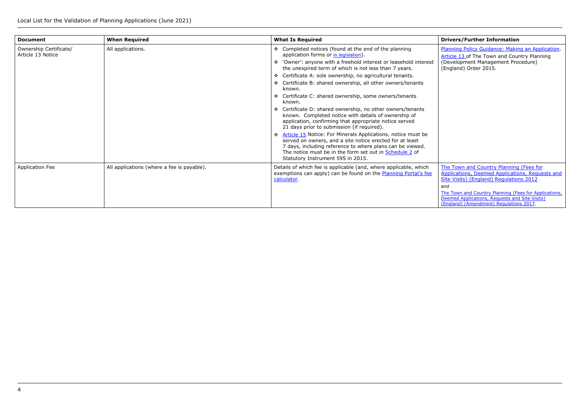The Town and Country Planning (Fees for [Applications, Deemed Applications, Requests and](http://www.legislation.gov.uk/uksi/2012/2920/contents/made)  [Site Visits\) \(England\) Regulations](http://www.legislation.gov.uk/uksi/2012/2920/contents/made) 2012 and

| <b>Document</b>                             | <b>When Required</b>                       | <b>What Is Required</b>                                                                                                                                                                                                                                                                               |
|---------------------------------------------|--------------------------------------------|-------------------------------------------------------------------------------------------------------------------------------------------------------------------------------------------------------------------------------------------------------------------------------------------------------|
| Ownership Certificate/<br>Article 13 Notice | All applications.                          | Completed notices (found at the end of the planning<br>application forms or in legislation).                                                                                                                                                                                                          |
|                                             |                                            | 'Owner': anyone with a freehold interest or leasehold interest<br>the unexpired term of which is not less than 7 years.                                                                                                                                                                               |
|                                             |                                            | Certificate A: sole ownership, no agricultural tenants.<br>交易                                                                                                                                                                                                                                         |
|                                             |                                            | Certificate B: shared ownership, all other owners/tenants<br>$\mathbf{A}^{\mathbf{A}}$<br>known.                                                                                                                                                                                                      |
|                                             |                                            | Certificate C: shared ownership, some owners/tenants<br>known.                                                                                                                                                                                                                                        |
|                                             |                                            | Certificate D: shared ownership, no other owners/tenants<br>known. Completed notice with details of ownership of<br>application, confirming that appropriate notice served<br>21 days prior to submission (if required).                                                                              |
|                                             |                                            | Article 15 Notice: For Minerals Applications, notice must be<br>$\mathbf{r}$<br>served on owners, and a site notice erected for at least<br>7 days, including reference to where plans can be viewed.<br>The notice must be in the form set out in Schedule 2 of<br>Statutory Instrument 595 in 2015. |
| <b>Application Fee</b>                      | All applications (where a fee is payable). | Details of which fee is applicable (and, where applicable, which<br>exemptions can apply) can be found on the <b>Planning Portal's fee</b><br>calculator.                                                                                                                                             |

[Planning Policy Guidance: Making an Application.](https://www.gov.uk/guidance/making-an-application) [Article](http://www.legislation.gov.uk/uksi/2015/595/article/13/made) 13 of The Town and Country Planning (Development Management Procedure) (England) Order 2015.

[The Town and Country Planning \(Fees for Applications,](https://www.legislation.gov.uk/uksi/2017/1314/contents/made)  [Deemed Applications, Requests and Site Visits\)](https://www.legislation.gov.uk/uksi/2017/1314/contents/made)  [\(England\) \(Amendment\) Regulations 2017.](https://www.legislation.gov.uk/uksi/2017/1314/contents/made)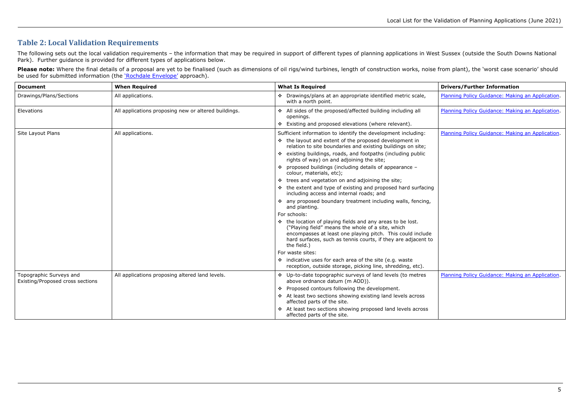## **Table 2: Local Validation Requirements**

The following sets out the local validation requirements - the information that may be required in support of different types of planning applications in West Sussex (outside the South Downs National Park). Further guidance is provided for different types of applications below.

**Please note:** Where the final details of a proposal are yet to be finalised (such as dimensions of oil rigs/wind turbines, length of construction works, noise from plant), the 'worst case scenario' should be used for submitted information (the <u>`Rochdale Envelope'</u> approach).

> **Drivers/Further Information** [Planning Policy Guidance: Making an Application.](https://www.gov.uk/guidance/making-an-application)

> [Planning Policy Guidance: Making an Application.](https://www.gov.uk/guidance/making-an-application)

| <b>Document</b>                                             | <b>When Required</b>                                 | <b>What Is Required</b>                                                                                                                                                                                                                                       |
|-------------------------------------------------------------|------------------------------------------------------|---------------------------------------------------------------------------------------------------------------------------------------------------------------------------------------------------------------------------------------------------------------|
| Drawings/Plans/Sections                                     | All applications.                                    | ❖ Drawings/plans at an appropriate identified metric scale,<br>with a north point.                                                                                                                                                                            |
| Elevations                                                  | All applications proposing new or altered buildings. | ❖ All sides of the proposed/affected building including all<br>openings.                                                                                                                                                                                      |
|                                                             |                                                      | Existing and proposed elevations (where relevant).<br>樂                                                                                                                                                                                                       |
| Site Layout Plans                                           | All applications.                                    | Sufficient information to identify the development including:                                                                                                                                                                                                 |
|                                                             |                                                      | ❖ the layout and extent of the proposed development in<br>relation to site boundaries and existing buildings on site;                                                                                                                                         |
|                                                             |                                                      | ❖ existing buildings, roads, and footpaths (including public<br>rights of way) on and adjoining the site;                                                                                                                                                     |
|                                                             |                                                      | ❖ proposed buildings (including details of appearance -<br>colour, materials, etc);                                                                                                                                                                           |
|                                                             |                                                      | ❖ trees and vegetation on and adjoining the site;                                                                                                                                                                                                             |
|                                                             |                                                      | ❖ the extent and type of existing and proposed hard surfacing<br>including access and internal roads; and                                                                                                                                                     |
|                                                             |                                                      | ❖ any proposed boundary treatment including walls, fencing,<br>and planting.                                                                                                                                                                                  |
|                                                             |                                                      | For schools:                                                                                                                                                                                                                                                  |
|                                                             |                                                      | ❖ the location of playing fields and any areas to be lost.<br>("Playing field" means the whole of a site, which<br>encompasses at least one playing pitch. This could include<br>hard surfaces, such as tennis courts, if they are adjacent to<br>the field.) |
|                                                             |                                                      | For waste sites:                                                                                                                                                                                                                                              |
|                                                             |                                                      | ❖ indicative uses for each area of the site (e.g. waste<br>reception, outside storage, picking line, shredding, etc).                                                                                                                                         |
| Topographic Surveys and<br>Existing/Proposed cross sections | All applications proposing altered land levels.      | ❖ Up-to-date topographic surveys of land levels (to metres<br>above ordnance datum (m AOD)).                                                                                                                                                                  |
|                                                             |                                                      | Proposed contours following the development.<br>❖                                                                                                                                                                                                             |
|                                                             |                                                      | ❖ At least two sections showing existing land levels across<br>affected parts of the site.                                                                                                                                                                    |
|                                                             |                                                      | ❖ At least two sections showing proposed land levels across<br>affected parts of the site.                                                                                                                                                                    |

[Planning Policy Guidance: Making an Application.](https://www.gov.uk/guidance/making-an-application)

[Planning Policy Guidance: Making an Application.](https://www.gov.uk/guidance/making-an-application)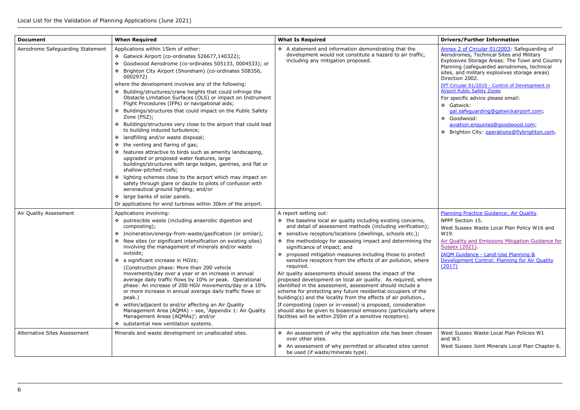DfT Circular 01/2010 - Control of Development in [Airport Public Safety Zones](https://assets.publishing.service.gov.uk/government/uploads/system/uploads/attachment_data/file/36536/circular.pdf)

- Gatwick: [gal.safeguarding@gatwickairport.com;](mailto:gal.safeguarding@gatwickairport.com)
- Goodwood: [aviation.enquiries@goodwood.com;](mailto:aviation.enquiries@goodwood.com)
- \* Brighton City: [operations@flybrighton.com.](mailto:operations@flybrighton.com)

Annex [2 of Circular 01/2003:](https://www.gov.uk/government/publications/safeguarding-aerodromes-technical-sites-and-military-explosives-storage-areas) Safeguarding of **Alexandre Schools and Sites and Military**<br>Aerodromes, Technical Sites and Military Explosives Storage Areas: The Town and Country Planning (safeguarded aerodromes, technical sites, and military explosives storage areas) Direction 2002.

For specific advice please email:

[Air Quality and Emissions Mitigation Guidance for](https://www.horsham.gov.uk/__data/assets/pdf_file/0004/104728/Sussex-AQ-Guidance-V.1.1-2021.pdf#:%7E:text=%EE%80%80Air%20quality%20and%20emissions%20mitigation%20guidance%20for%20Sussex,and%20control%20of%20dust%20during%20demolition%20and%20construction.)  Sussex (2021)

[IAQM Guidance - Land-Use Planning &](http://www.iaqm.co.uk/text/guidance/air-quality-planning-guidance.pdf)  [Development Control: Planning for Air Quality](http://www.iaqm.co.uk/text/guidance/air-quality-planning-guidance.pdf)   $(2017)$ 

| <b>Document</b>                     | <b>When Required</b>                                                                                                                                                                                                                                                                                                                                                                                                                                                                                                                                                                                                                                                                                                                                                                                                                                                                                                                                                                                                                                                                                                                                                                                                          | <b>What Is Required</b>                                                                                                                                                                                                                                                                                                                                                                                                                                                                                                                                                                                                                                                                                                                                                                                                                                                                                                                                                                  |
|-------------------------------------|-------------------------------------------------------------------------------------------------------------------------------------------------------------------------------------------------------------------------------------------------------------------------------------------------------------------------------------------------------------------------------------------------------------------------------------------------------------------------------------------------------------------------------------------------------------------------------------------------------------------------------------------------------------------------------------------------------------------------------------------------------------------------------------------------------------------------------------------------------------------------------------------------------------------------------------------------------------------------------------------------------------------------------------------------------------------------------------------------------------------------------------------------------------------------------------------------------------------------------|------------------------------------------------------------------------------------------------------------------------------------------------------------------------------------------------------------------------------------------------------------------------------------------------------------------------------------------------------------------------------------------------------------------------------------------------------------------------------------------------------------------------------------------------------------------------------------------------------------------------------------------------------------------------------------------------------------------------------------------------------------------------------------------------------------------------------------------------------------------------------------------------------------------------------------------------------------------------------------------|
| Aerodrome Safeguarding Statement    | Applications within 15km of either:<br>* Gatwick Airport (co-ordinates 526677,140322);<br>Goodwood Aerodrome (co-ordinates 505133, 0004533); or<br>❖<br>* Brighton City Airport (Shoreham) (co-ordinates 508356,<br>0002972)<br>where the development involves any of the following:<br>❖ Building/structures/crane heights that could infringe the<br>Obstacle Limitation Surfaces (OLS) or impact on Instrument<br>Flight Procedures (IFPs) or navigational aids;<br>❖ Buildings/structures that could impact on the Public Safety<br>Zone (PSZ);<br>❖ Buildings/structures very close to the airport that could lead<br>to building induced turbulence;<br>landfilling and/or waste disposal;<br>❖<br>the venting and flaring of gas;<br>❖<br>❖ features attractive to birds such as amenity landscaping,<br>upgraded or proposed water features, large<br>buildings/structures with large ledges, gantries, and flat or<br>shallow-pitched roofs;<br>* lighting schemes close to the airport which may impact on<br>safety through glare or dazzle to pilots of confusion with<br>aeronautical ground lighting; and/or<br>* large banks of solar panels.<br>Or applications for wind turbines within 30km of the airport. | $\div$ A statement and information demonstrating that the<br>development would not constitute a hazard to air traffic,<br>including any mitigation proposed.                                                                                                                                                                                                                                                                                                                                                                                                                                                                                                                                                                                                                                                                                                                                                                                                                             |
| Air Quality Assessment              | Applications involving:<br>❖ putrescible waste (including anaerobic digestion and<br>composting);<br>❖ Incineration/energy-from-waste/gasification (or similar);<br>New sites (or significant intensification on existing sites)<br>❖<br>involving the management of minerals and/or waste<br>outside;<br>❖ a significant increase in HGVs;<br>(Construction phase: More than 200 vehicle<br>movements/day over a year or an increase in annual<br>average daily traffic flows by 10% or peak. Operational<br>phase: An increase of 200 HGV movements/day or a 10%<br>or more increase in annual average daily traffic flows or<br>peak.)<br>❖ within/adjacent to and/or affecting an Air Quality<br>Management Area (AQMA) - see, 'Appendix 1: Air Quality<br>Management Areas (AQMAs)'; and/or<br>* substantial new ventilation systems.                                                                                                                                                                                                                                                                                                                                                                                    | A report setting out:<br>❖ the baseline local air quality including existing concerns,<br>and detail of assessment methods (including verification);<br>❖ sensitive receptors/locations (dwellings, schools etc.);<br>❖ the methodology for assessing impact and determining the<br>significance of impact; and<br>❖ proposed mitigation measures including those to protect<br>sensitive receptors from the effects of air pollution, where<br>required.<br>Air quality assessments should assess the impact of the<br>proposed development on local air quality. As required, where<br>identified in the assessment, assessment should include a<br>scheme for protecting any future residential occupiers of the<br>building(s) and the locality from the effects of air pollution.,<br>If composting (open or in-vessel) is proposed, consideration<br>should also be given to bioaerosol emissions (particularly where<br>facilities will be within 250m of a sensitive receptors). |
| <b>Alternative Sites Assessment</b> | Minerals and waste development on unallocated sites.                                                                                                                                                                                                                                                                                                                                                                                                                                                                                                                                                                                                                                                                                                                                                                                                                                                                                                                                                                                                                                                                                                                                                                          | ❖ An assessment of why the application site has been chosen<br>over other sites.<br>❖ An assessment of why permitted or allocated sites cannot<br>be used (if waste/minerals type).                                                                                                                                                                                                                                                                                                                                                                                                                                                                                                                                                                                                                                                                                                                                                                                                      |

[Planning Practice Guidance: Air Quality.](https://www.gov.uk/guidance/air-quality--3)

NPPF Section 15.

West Sussex Waste Local Plan Policy W16 and W19.

West Sussex Waste Local Plan Policies W1 and W3. West Sussex Joint Minerals Local Plan Chapter 6.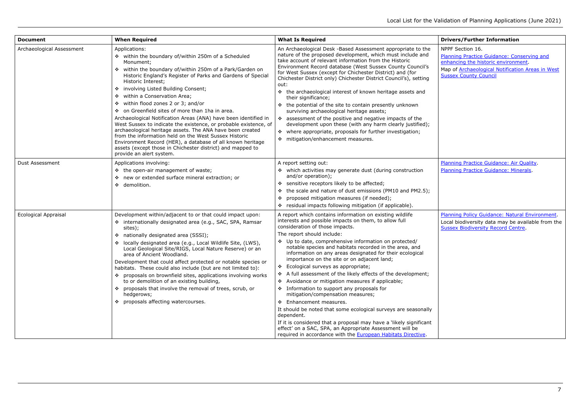- NPPF Section 16. [Planning Practice Guidance: Conserving and](https://www.gov.uk/guidance/conserving-and-enhancing-the-historic-environment)  [enhancing the historic environment.](https://www.gov.uk/guidance/conserving-and-enhancing-the-historic-environment)
- Map of Archaeological Notification Areas in West **[Sussex County Council](https://www.westsussex.gov.uk/land-waste-and-housing/landscape-and-environment/historic-environment-record/archaeological-notification-areas-1/)**

| <b>Document</b>             | <b>When Required</b>                                                                                                                                                                                                                                                                                                                                                                                                                                                                                                                                                                                                                                                                                                                                                                                                             | <b>What Is Required</b>                                                                                                                                                                                                                                                                                                                                                                                                                                                                                                                                                                                                                                                                                                                                                                                                                                                                                                                                                                 |
|-----------------------------|----------------------------------------------------------------------------------------------------------------------------------------------------------------------------------------------------------------------------------------------------------------------------------------------------------------------------------------------------------------------------------------------------------------------------------------------------------------------------------------------------------------------------------------------------------------------------------------------------------------------------------------------------------------------------------------------------------------------------------------------------------------------------------------------------------------------------------|-----------------------------------------------------------------------------------------------------------------------------------------------------------------------------------------------------------------------------------------------------------------------------------------------------------------------------------------------------------------------------------------------------------------------------------------------------------------------------------------------------------------------------------------------------------------------------------------------------------------------------------------------------------------------------------------------------------------------------------------------------------------------------------------------------------------------------------------------------------------------------------------------------------------------------------------------------------------------------------------|
| Archaeological Assessment   | Applications:<br>❖ within the boundary of/within 250m of a Scheduled<br>Monument;<br>within the boundary of/within 250m of a Park/Garden on<br>※<br>Historic England's Register of Parks and Gardens of Special<br>Historic Interest;<br>❖ involving Listed Building Consent;<br>❖ within a Conservation Area;<br>within flood zones 2 or 3; and/or<br>※<br>❖ on Greenfield sites of more than 1ha in area.<br>Archaeological Notification Areas (ANA) have been identified in<br>West Sussex to indicate the existence, or probable existence, of<br>archaeological heritage assets. The ANA have been created<br>from the information held on the West Sussex Historic<br>Environment Record (HER), a database of all known heritage<br>assets (except those in Chichester district) and mapped to<br>provide an alert system. | An Archaeological Desk -Based Assessment appropriate to the<br>nature of the proposed development, which must include and<br>take account of relevant information from the Historic<br>Environment Record database (West Sussex County Council's<br>for West Sussex (except for Chichester District) and (for<br>Chichester District only) Chichester District Council's), setting<br>out:<br>❖ the archaeological interest of known heritage assets and<br>their significance;<br>❖ the potential of the site to contain presently unknown<br>surviving archaeological heritage assets;<br>* assessment of the positive and negative impacts of the<br>development upon these (with any harm clearly justified);<br>where appropriate, proposals for further investigation;<br>❖<br>mitigation/enhancement measures.<br>❖                                                                                                                                                              |
| Dust Assessment             | Applications involving:<br>❖ the open-air management of waste;<br>❖ new or extended surface mineral extraction; or<br>❖ demolition.                                                                                                                                                                                                                                                                                                                                                                                                                                                                                                                                                                                                                                                                                              | A report setting out:<br>❖ which activities may generate dust (during construction<br>and/or operation);<br>❖ sensitive receptors likely to be affected;<br>the scale and nature of dust emissions (PM10 and PM2.5);<br>❖<br>proposed mitigation measures (if needed);<br>❖<br>residual impacts following mitigation (if applicable).<br>❖                                                                                                                                                                                                                                                                                                                                                                                                                                                                                                                                                                                                                                              |
| <b>Ecological Appraisal</b> | Development within/adjacent to or that could impact upon:<br>❖ internationally designated area (e.g., SAC, SPA, Ramsar<br>sites);<br>❖ nationally designated area (SSSI);<br>locally designated area (e.g., Local Wildlife Site, (LWS),<br>❖<br>Local Geological Site/RIGS, Local Nature Reserve) or an<br>area of Ancient Woodland.<br>Development that could affect protected or notable species or<br>habitats. These could also include (but are not limited to):<br>❖ proposals on brownfield sites, applications involving works<br>to or demolition of an existing building,<br>❖ proposals that involve the removal of trees, scrub, or<br>hedgerows;<br>❖ proposals affecting watercourses.                                                                                                                             | A report which contains information on existing wildlife<br>interests and possible impacts on them, to allow full<br>consideration of those impacts.<br>The report should include:<br>❖ Up to date, comprehensive information on protected/<br>notable species and habitats recorded in the area, and<br>information on any areas designated for their ecological<br>importance on the site or on adjacent land;<br>Ecological surveys as appropriate;<br>❖<br>A full assessment of the likely effects of the development;<br>❖<br>Avoidance or mitigation measures if applicable;<br>❖<br>❖ Information to support any proposals for<br>mitigation/compensation measures;<br>❖ Enhancement measures.<br>It should be noted that some ecological surveys are seasonally<br>dependent.<br>If it is considered that a proposal may have a 'likely significant<br>effect' on a SAC, SPA, an Appropriate Assessment will be<br>required in accordance with the European Habitats Directive. |

[Planning Practice Guidance: Air Quality.](https://www.gov.uk/guidance/air-quality--3) [Planning Practice Guidance: Minerals.](https://www.gov.uk/guidance/minerals)

[Planning Policy Guidance: Natural Environment.](https://www.gov.uk/guidance/natural-environment) Local biodiversity data may be available from the [Sussex Biodiversity Record Centre.](http://sxbrc.org.uk/)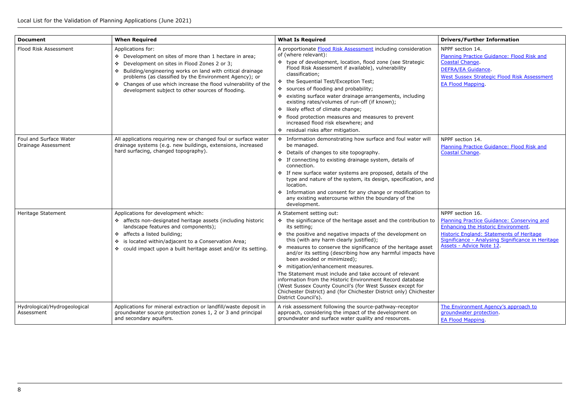| <b>Document</b>                               | <b>When Required</b>                                                                                                                                                                                                                                                                                                                                                                | <b>What Is Required</b>                                                                                                                                                                                                                                                                                                                                                                                                                                                                                                                                                                                                                                                                                         | <b>Drivers/Further Information</b>                                                                                                                                                                              |
|-----------------------------------------------|-------------------------------------------------------------------------------------------------------------------------------------------------------------------------------------------------------------------------------------------------------------------------------------------------------------------------------------------------------------------------------------|-----------------------------------------------------------------------------------------------------------------------------------------------------------------------------------------------------------------------------------------------------------------------------------------------------------------------------------------------------------------------------------------------------------------------------------------------------------------------------------------------------------------------------------------------------------------------------------------------------------------------------------------------------------------------------------------------------------------|-----------------------------------------------------------------------------------------------------------------------------------------------------------------------------------------------------------------|
| Flood Risk Assessment                         | Applications for:<br>❖ Development on sites of more than 1 hectare in area;<br>Development on sites in Flood Zones 2 or 3;<br>❖<br>Building/engineering works on land with critical drainage<br>交易<br>problems (as classified by the Environment Agency); or<br>❖ Changes of use which increase the flood vulnerability of the<br>development subject to other sources of flooding. | A proportionate Flood Risk Assessment including consideration<br>of (where relevant):<br>❖ type of development, location, flood zone (see Strategic<br>Flood Risk Assessment if available), vulnerability<br>classification;<br>the Sequential Test/Exception Test;<br>❖<br>sources of flooding and probability;<br>existing surface water drainage arrangements, including<br>existing rates/volumes of run-off (if known);<br>❖ likely effect of climate change;<br>flood protection measures and measures to prevent<br>increased flood risk elsewhere; and<br>residual risks after mitigation.                                                                                                              | NPPF section 14.<br>Planning Practice Guidance: Flo<br><b>Coastal Change</b><br><b>DEFRA/EA Guidance.</b><br><b>West Sussex Strategic Flood Ris</b><br><b>EA Flood Mapping.</b>                                 |
| Foul and Surface Water<br>Drainage Assessment | All applications requiring new or changed foul or surface water<br>drainage systems (e.g. new buildings, extensions, increased<br>hard surfacing, changed topography).                                                                                                                                                                                                              | ❖<br>Information demonstrating how surface and foul water will<br>be managed.<br>Details of changes to site topography.<br>❖<br>If connecting to existing drainage system, details of<br>connection.<br>* If new surface water systems are proposed, details of the<br>type and nature of the system, its design, specification, and<br>location.<br>Information and consent for any change or modification to<br>any existing watercourse within the boundary of the<br>development.                                                                                                                                                                                                                           | NPPF section 14.<br>Planning Practice Guidance: Flo<br><b>Coastal Change</b>                                                                                                                                    |
| Heritage Statement                            | Applications for development which:<br>* affects non-designated heritage assets (including historic<br>landscape features and components);<br>❖ affects a listed building;<br>is located within/adjacent to a Conservation Area;<br>❖<br>❖ could impact upon a built heritage asset and/or its setting.                                                                             | A Statement setting out:<br>❖ the significance of the heritage asset and the contribution to<br>its setting;<br>the positive and negative impacts of the development on<br>❖<br>this (with any harm clearly justified);<br>❖ measures to conserve the significance of the heritage asset<br>and/or its setting (describing how any harmful impacts have<br>been avoided or minimized);<br>❖ mitigation/enhancement measures.<br>The Statement must include and take account of relevant<br>information from the Historic Environment Record database<br>(West Sussex County Council's (for West Sussex except for<br>Chichester District) and (for Chichester District only) Chichester<br>District Council's). | NPPF section 16.<br><b>Planning Practice Guidance: Cor</b><br><b>Enhancing the Historic Environn</b><br><b>Historic England: Statements of</b><br>Significance - Analysing Signific<br>Assets - Advice Note 12. |
| Hydrological/Hydrogeological<br>Assessment    | Applications for mineral extraction or landfill/waste deposit in<br>groundwater source protection zones 1, 2 or 3 and principal<br>and secondary aquifers.                                                                                                                                                                                                                          | A risk assessment following the source-pathway-receptor<br>approach, considering the impact of the development on<br>groundwater and surface water quality and resources.                                                                                                                                                                                                                                                                                                                                                                                                                                                                                                                                       | The Environment Agency's appr<br>groundwater protection.<br><b>EA Flood Mapping</b>                                                                                                                             |

| <b>Drivers/Further Information</b>                                            |
|-------------------------------------------------------------------------------|
| NPPF section 14.                                                              |
| Planning Practice Guidance: Flood Risk and                                    |
| Coastal Change.                                                               |
| DEFRA/EA Guidance.                                                            |
| <b>West Sussex Strategic Flood Risk Assessment</b>                            |
| <b>EA Flood Mapping.</b>                                                      |
|                                                                               |
|                                                                               |
|                                                                               |
|                                                                               |
|                                                                               |
|                                                                               |
|                                                                               |
| NPPF section 14.                                                              |
| Planning Practice Guidance: Flood Risk and<br>Coastal Change.                 |
|                                                                               |
|                                                                               |
|                                                                               |
|                                                                               |
|                                                                               |
|                                                                               |
|                                                                               |
|                                                                               |
| NPPF section 16.                                                              |
| Planning Practice Guidance: Conserving and                                    |
| <b>Enhancing the Historic Environment.</b>                                    |
| <b>Historic England: Statements of Heritage</b>                               |
| Significance - Analysing Significance in Heritage<br>Assets - Advice Note 12. |
|                                                                               |
|                                                                               |
|                                                                               |
|                                                                               |

[The Environment Agency's approach to](https://www.gov.uk/government/uploads/system/uploads/attachment_data/file/598778/LIT_7660.pdf)  [groundwater protection.](https://www.gov.uk/government/uploads/system/uploads/attachment_data/file/598778/LIT_7660.pdf) [EA Flood Mapping.](https://flood-map-for-planning.service.gov.uk/)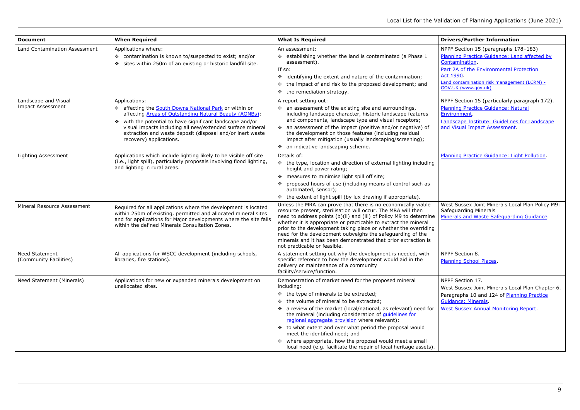- NPPF Section 15 (paragraphs 178–183) [Planning Practice Guidance: Land affected by](https://www.gov.uk/guidance/land-affected-by-contamination)  [Contamination.](https://www.gov.uk/guidance/land-affected-by-contamination)
- Part 2A of the Environmental Protection Act [1990.](https://assets.publishing.service.gov.uk/government/uploads/system/uploads/attachment_data/file/223705/pb13735cont-land-guidance.pdf)
- [Land contamination risk management \(LCRM\)](https://www.gov.uk/government/publications/land-contamination-risk-management-lcrm)  [GOV.UK \(www.gov.uk\)](https://www.gov.uk/government/publications/land-contamination-risk-management-lcrm)
- NPPF Section 15 (particularly paragraph 172). [Planning Practice Guidance: Natural](http://planningguidance.planningportal.gov.uk/blog/guidance/natural-environment/landscape/)  [Environment.](http://planningguidance.planningportal.gov.uk/blog/guidance/natural-environment/landscape/)
- [Landscape Institute: Guidelines for Landscape](https://www.landscapeinstitute.org/technical-resource/landscape-visual-impact-assessment/)  [and Visual Impact Assessment.](https://www.landscapeinstitute.org/technical-resource/landscape-visual-impact-assessment/)

| <b>Document</b>                                  | <b>When Required</b>                                                                                                                                                                                                                                                                                                                                | <b>What Is Required</b>                                                                                                                                                                                                                                                                                                                                                                                                                                                                                                                                                | <b>Drivers/Further Information</b>                                                                                                                                                                          |
|--------------------------------------------------|-----------------------------------------------------------------------------------------------------------------------------------------------------------------------------------------------------------------------------------------------------------------------------------------------------------------------------------------------------|------------------------------------------------------------------------------------------------------------------------------------------------------------------------------------------------------------------------------------------------------------------------------------------------------------------------------------------------------------------------------------------------------------------------------------------------------------------------------------------------------------------------------------------------------------------------|-------------------------------------------------------------------------------------------------------------------------------------------------------------------------------------------------------------|
| <b>Land Contamination Assessment</b>             | Applications where:<br>❖ contamination is known to/suspected to exist; and/or<br>sites within 250m of an existing or historic landfill site.                                                                                                                                                                                                        | An assessment:<br>❖ establishing whether the land is contaminated (a Phase 1<br>assessment).<br>If so:<br>identifying the extent and nature of the contamination;<br>❖<br>the impact of and risk to the proposed development; and<br>❖<br>the remediation strategy.                                                                                                                                                                                                                                                                                                    | NPPF Section 15 (paragraphs 1)<br>Planning Practice Guidance: Lar<br>Contamination.<br>Part 2A of the Environmental Pr<br><b>Act 1990</b><br><b>Land contamination risk manageme</b><br>GOV.UK (www.gov.uk) |
| Landscape and Visual<br><b>Impact Assessment</b> | Applications:<br>* affecting the South Downs National Park or within or<br>affecting Areas of Outstanding Natural Beauty (AONBs);<br>❖ with the potential to have significant landscape and/or<br>visual impacts including all new/extended surface mineral<br>extraction and waste deposit (disposal and/or inert waste<br>recovery) applications. | A report setting out:<br>❖ an assessment of the existing site and surroundings,<br>including landscape character, historic landscape features<br>and components, landscape type and visual receptors;<br>* an assessment of the impact (positive and/or negative) of<br>the development on those features (including residual<br>impact after mitigation (usually landscaping/screening);<br>❖ an indicative landscaping scheme.                                                                                                                                       | NPPF Section 15 (particularly pa<br><b>Planning Practice Guidance: Nat</b><br>Environment.<br>Landscape Institute: Guidelines<br>and Visual Impact Assessment.                                              |
| Lighting Assessment                              | Applications which include lighting likely to be visible off site<br>(i.e., light spill), particularly proposals involving flood lighting,<br>and lighting in rural areas.                                                                                                                                                                          | Details of:<br>❖ the type, location and direction of external lighting including<br>height and power rating;<br>❖ measures to minimise light spill off site;<br>proposed hours of use (including means of control such as<br>automated, sensor);<br>the extent of light spill (by lux drawing if appropriate).                                                                                                                                                                                                                                                         | Planning Practice Guidance: Lig                                                                                                                                                                             |
| Mineral Resource Assessment                      | Required for all applications where the development is located<br>within 250m of existing, permitted and allocated mineral sites<br>and for applications for Major developments where the site falls<br>within the defined Minerals Consultation Zones.                                                                                             | Unless the MRA can prove that there is no economically viable<br>resource present, sterilisation will occur. The MRA will then<br>need to address points (b)(ii) and (iii) of Policy M9 to determine<br>whether it is appropriate or practicable to extract the mineral<br>prior to the development taking place or whether the overriding<br>need for the development outweighs the safeguarding of the<br>minerals and it has been demonstrated that prior extraction is<br>not practicable or feasible.                                                             | West Sussex Joint Minerals Loca<br>Safeguarding Minerals<br><b>Minerals and Waste Safequardir</b>                                                                                                           |
| Need Statement<br>(Community Facilities)         | All applications for WSCC development (including schools,<br>libraries, fire stations).                                                                                                                                                                                                                                                             | A statement setting out why the development is needed, with<br>specific reference to how the development would aid in the<br>delivery or maintenance of a community<br>facility/service/function.                                                                                                                                                                                                                                                                                                                                                                      | NPPF Section 8.<br>Planning School Places.                                                                                                                                                                  |
| Need Statement (Minerals)                        | Applications for new or expanded minerals development on<br>unallocated sites.                                                                                                                                                                                                                                                                      | Demonstration of market need for the proposed mineral<br>including:<br>❖ the type of minerals to be extracted;<br>❖ the volume of mineral to be extracted;<br>* a review of the market (local/national, as relevant) need for<br>the mineral (including consideration of quidelines for<br>regional aggregate provision where relevant);<br>❖ to what extent and over what period the proposal would<br>meet the identified need; and<br>❖ where appropriate, how the proposal would meet a small<br>local need (e.g. facilitate the repair of local heritage assets). | NPPF Section 17.<br>West Sussex Joint Minerals Loca<br>Paragraphs 10 and 124 of Planr<br><b>Guidance: Minerals</b><br><b>West Sussex Annual Monitoring</b>                                                  |

[Planning Practice Guidance: Light Pollution.](https://www.gov.uk/guidance/light-pollution)

West Sussex Joint Minerals Local Plan Policy M9: Safeguarding Minerals [Minerals and Waste Safeguarding Guidance](https://www.westsussex.gov.uk/media/13437/mw_safeguarding_guidance.pdf).

NPPF Section 17. West Sussex Joint Minerals Local Plan Chapter 6. Paragraphs 10 and 124 of Planning Practice [Guidance: Minerals.](https://www.gov.uk/guidance/minerals) [West Sussex Annual Monitoring Report.](https://www.westsussex.gov.uk/about-the-council/policies-and-reports/environment-planning-and-waste-policy-and-reports/minerals-and-waste-policy/monitoring-reports/)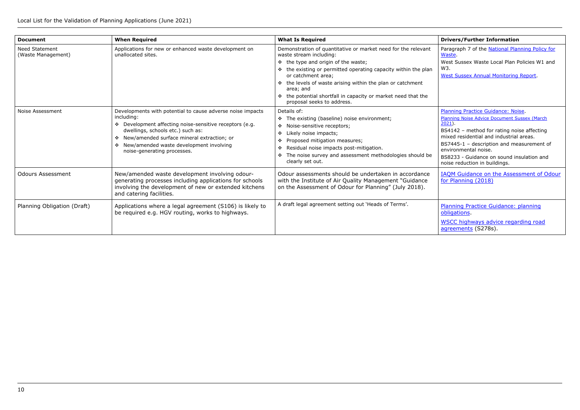Paragraph 7 of the National Planning Policy for [Waste.](https://www.gov.uk/government/uploads/system/uploads/attachment_data/file/364759/141015_National_Planning_Policy_for_Waste.pdf)

[Planning Practice Guidance: Noise.](https://www.gov.uk/guidance/noise--2) [Planning Noise Advice Document Sussex \(March](https://crawley.gov.uk/sites/default/files/2021-03/Planning_noise_advice_document_Sussex_2021.pdf)   $2021$ ).

West Sussex Waste Local Plan Policies W1 and W3.

[West Sussex Annual Monitoring Report.](https://www.westsussex.gov.uk/about-the-council/policies-and-reports/environment-planning-and-waste-policy-and-reports/minerals-and-waste-policy/monitoring-reports/)

Planning Practice Guidance: planning [obligations.](https://www.gov.uk/guidance/planning-obligations)

| <b>Document</b>                             | <b>When Required</b>                                                                                                                                                                                                                                                                                                      | <b>What Is Required</b>                                                                                                                                                                                                                                                                      |
|---------------------------------------------|---------------------------------------------------------------------------------------------------------------------------------------------------------------------------------------------------------------------------------------------------------------------------------------------------------------------------|----------------------------------------------------------------------------------------------------------------------------------------------------------------------------------------------------------------------------------------------------------------------------------------------|
| <b>Need Statement</b><br>(Waste Management) | Applications for new or enhanced waste development on<br>unallocated sites.                                                                                                                                                                                                                                               | Demonstration of quantitative or market need for the relevant<br>waste stream including:<br>❖ the type and origin of the waste;                                                                                                                                                              |
|                                             |                                                                                                                                                                                                                                                                                                                           | $\div$ the existing or permitted operating capacity within the plan<br>or catchment area;                                                                                                                                                                                                    |
|                                             |                                                                                                                                                                                                                                                                                                                           | ❖ the levels of waste arising within the plan or catchment<br>area; and                                                                                                                                                                                                                      |
|                                             |                                                                                                                                                                                                                                                                                                                           | the potential shortfall in capacity or market need that the<br>❖<br>proposal seeks to address.                                                                                                                                                                                               |
| Noise Assessment                            | Developments with potential to cause adverse noise impacts<br>including:<br>❖ Development affecting noise-sensitive receptors (e.g.<br>dwellings, schools etc.) such as:<br>New/amended surface mineral extraction; or<br>$\ddot{\bullet}$<br>New/amended waste development involving<br>❖<br>noise-generating processes. | Details of:<br>* The existing (baseline) noise environment;<br>Noise-sensitive receptors;<br>❖<br>Likely noise impacts;<br>❖<br>Proposed mitigation measures;<br>Residual noise impacts post-mitigation.<br>❖<br>The noise survey and assessment methodologies should be<br>clearly set out. |
| <b>Odours Assessment</b>                    | New/amended waste development involving odour-<br>generating processes including applications for schools<br>involving the development of new or extended kitchens<br>and catering facilities.                                                                                                                            | Odour assessments should be undertaken in accordance<br>with the Institute of Air Quality Management "Guidance<br>on the Assessment of Odour for Planning" (July 2018).                                                                                                                      |
| Planning Obligation (Draft)                 | Applications where a legal agreement (S106) is likely to<br>be required e.g. HGV routing, works to highways.                                                                                                                                                                                                              | A draft legal agreement setting out 'Heads of Terms'.                                                                                                                                                                                                                                        |

WSCC highways advice regarding road [agreements](http://www.westsussex.gov.uk/living/roads_and_transport/roads_and_footways/development_control_plans_and/information_for_developers/road_agreements.aspx) (S278s).

BS4142 – method for rating noise affecting mixed residential and industrial areas.

BS7445-1 – description and measurement of environmental noise.

BS8233 - Guidance on sound insulation and noise reduction in buildings.

[IAQM Guidance on the Assessment of Odour](http://iaqm.co.uk/text/guidance/odour-guidance-2014.pdf)  [for Planning \(2018\)](http://iaqm.co.uk/text/guidance/odour-guidance-2014.pdf)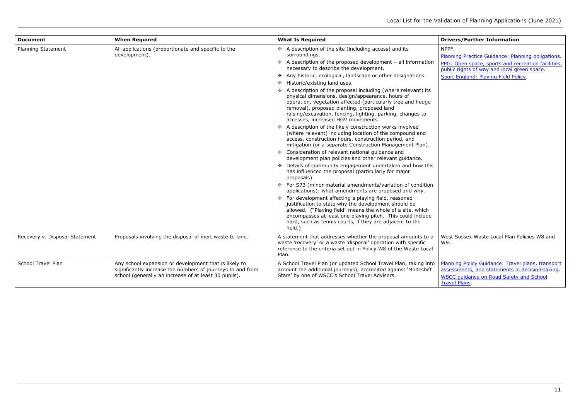[Planning Practice Guidance: Planning obligations.](https://www.gov.uk/guidance/planning-obligations) PPG: Open space, sports and recreation facilities, [public rights of way and local green space.](https://www.gov.uk/guidance/open-space-sports-and-recreation-facilities-public-rights-of-way-and-local-green-space) [Sport England: Playing Field Policy.](https://www.sportengland.org/playingfieldspolicy/)

| <b>Document</b>                | <b>When Required</b>                                                                                                                                                         | <b>What Is Required</b>                                                                                                                                                                                                                                                                                                             |
|--------------------------------|------------------------------------------------------------------------------------------------------------------------------------------------------------------------------|-------------------------------------------------------------------------------------------------------------------------------------------------------------------------------------------------------------------------------------------------------------------------------------------------------------------------------------|
| Planning Statement             | All applications (proportionate and specific to the<br>development).                                                                                                         | ❖ A description of the site (including access) and its<br>surroundings.                                                                                                                                                                                                                                                             |
|                                |                                                                                                                                                                              | $\div$ A description of the proposed development - all information<br>necessary to describe the development.                                                                                                                                                                                                                        |
|                                |                                                                                                                                                                              | ❖ Any historic, ecological, landscape or other designations.                                                                                                                                                                                                                                                                        |
|                                |                                                                                                                                                                              | ❖ Historic/existing land uses.                                                                                                                                                                                                                                                                                                      |
|                                |                                                                                                                                                                              | ❖ A description of the proposal including (where relevant) its<br>physical dimensions, design/appearance, hours of<br>operation, vegetation affected (particularly tree and hedge<br>removal), proposed planting, proposed land<br>raising/excavation, fencing, lighting, parking, changes to<br>accesses, increased HGV movements. |
|                                |                                                                                                                                                                              | ❖ A description of the likely construction works involved<br>(where relevant) including location of the compound and<br>access, construction hours, construction period, and<br>mitigation (or a separate Construction Management Plan).                                                                                            |
|                                |                                                                                                                                                                              | ❖ Consideration of relevant national guidance and<br>development plan policies and other relevant guidance.                                                                                                                                                                                                                         |
|                                |                                                                                                                                                                              | Details of community engagement undertaken and how this<br>has influenced the proposal (particularly for major<br>proposals).                                                                                                                                                                                                       |
|                                |                                                                                                                                                                              | ❖ For S73 (minor material amendments/variation of condition<br>applications): what amendments are proposed and why.                                                                                                                                                                                                                 |
|                                |                                                                                                                                                                              | ❖ For development affecting a playing field, reasoned<br>justification to state why the development should be<br>allowed. ("Playing field" means the whole of a site, which<br>encompasses at least one playing pitch. This could include<br>hard, such as tennis courts, if they are adjacent to the<br>field.)                    |
| Recovery v. Disposal Statement | Proposals involving the disposal of inert waste to land.                                                                                                                     | A statement that addresses whether the proposal amounts to a<br>waste 'recovery' or a waste 'disposal' operation with specific<br>reference to the criteria set out in Policy W8 of the Waste Local<br>Plan.                                                                                                                        |
| <b>School Travel Plan</b>      | Any school expansion or development that is likely to<br>significantly increase the numbers of journeys to and from<br>school (generally an increase of at least 30 pupils). | A School Travel Plan (or updated School Travel Plan, taking into<br>account the additional journeys), accredited against 'Modeshift<br>Stars' by one of WSCC's School Travel Advisors.                                                                                                                                              |

#### **Drivers/Further Information**

NPPF.

West Sussex Waste Local Plan Policies W8 and W9.

[Planning Policy Guidance: Travel plans, transport](https://www.gov.uk/guidance/travel-plans-transport-assessments-and-statements)  [assessments, and statements in decision-taking.](https://www.gov.uk/guidance/travel-plans-transport-assessments-and-statements) [WSCC guidance on Road Safety and School](https://www.westsussex.gov.uk/roads-and-travel/road-safety/school-travel-safety/request-road-safety-improvements-near-schools/)  [Travel Plans.](https://www.westsussex.gov.uk/roads-and-travel/road-safety/school-travel-safety/request-road-safety-improvements-near-schools/)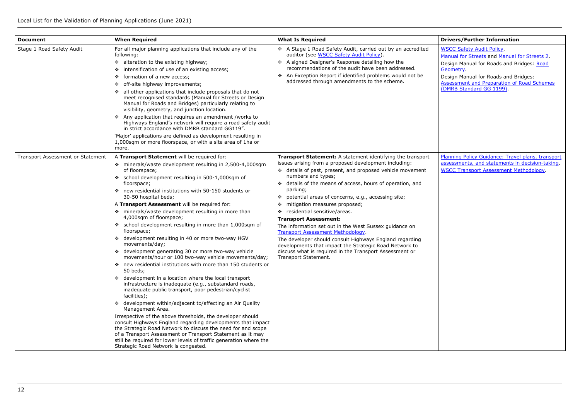- [WSCC Safety Audit Policy.](https://www.westsussex.gov.uk/media/5556/roadsafety_auditpolicy.pdf)
- [Manual for Streets](https://www.gov.uk/government/publications/manual-for-streets) and [Manual for Streets 2.](https://www.gov.uk/government/publications/manual-for-streets-2) Design Manual for Roads and Bridges: Road [Geometry.](http://www.standardsforhighways.co.uk/ha/standards/dmrb/vol6/section1.htm)
- Design Manual for Roads and Bridges: [Assessment and Preparation of Road Schemes](http://www.standardsforhighways.co.uk/ha/standards/dmrb/vol5/section2.htm)  [\(DMRB Standard GG 1199\).](http://www.standardsforhighways.co.uk/ha/standards/dmrb/vol5/section2.htm)

| <b>Document</b>                          | <b>When Required</b>                                                                                                                                                                                                                                                                                                                                                                                                                                                                                                                                                                                                                                                                                                                                                                                                                                                                                                                                                                                                                                                                                                                                                                                                                                                                                                                                                                                                   | <b>What Is Required</b>                                                                                                                                                                                                                                                                                                                                                                                                                                                                                                                                                                                                                                                                                                                                      |
|------------------------------------------|------------------------------------------------------------------------------------------------------------------------------------------------------------------------------------------------------------------------------------------------------------------------------------------------------------------------------------------------------------------------------------------------------------------------------------------------------------------------------------------------------------------------------------------------------------------------------------------------------------------------------------------------------------------------------------------------------------------------------------------------------------------------------------------------------------------------------------------------------------------------------------------------------------------------------------------------------------------------------------------------------------------------------------------------------------------------------------------------------------------------------------------------------------------------------------------------------------------------------------------------------------------------------------------------------------------------------------------------------------------------------------------------------------------------|--------------------------------------------------------------------------------------------------------------------------------------------------------------------------------------------------------------------------------------------------------------------------------------------------------------------------------------------------------------------------------------------------------------------------------------------------------------------------------------------------------------------------------------------------------------------------------------------------------------------------------------------------------------------------------------------------------------------------------------------------------------|
| Stage 1 Road Safety Audit                | For all major planning applications that include any of the<br>following:<br>❖ alteration to the existing highway;<br>intensification of use of an existing access;<br>❖<br>formation of a new access;<br>❖<br>off-site highway improvements;<br>❖<br>all other applications that include proposals that do not<br>❖<br>meet recognised standards (Manual for Streets or Design<br>Manual for Roads and Bridges) particularly relating to<br>visibility, geometry, and junction location.<br>❖ Any application that requires an amendment /works to<br>Highways England's network will require a road safety audit<br>in strict accordance with DMRB standard GG119".<br>'Major' applications are defined as development resulting in<br>1,000sqm or more floorspace, or with a site area of 1ha or<br>more.                                                                                                                                                                                                                                                                                                                                                                                                                                                                                                                                                                                                           | A Stage 1 Road Safety Audit, carried out by an accredited<br>auditor (see WSCC Safety Audit Policy).<br>❖ A signed Designer's Response detailing how the<br>recommendations of the audit have been addressed.<br>❖ An Exception Report if identified problems would not be<br>addressed through amendments to the scheme.                                                                                                                                                                                                                                                                                                                                                                                                                                    |
| <b>Transport Assessment or Statement</b> | A Transport Statement will be required for:<br>❖ minerals/waste development resulting in 2,500-4,000sqm<br>of floorspace;<br>school development resulting in 500-1,000sqm of<br>❖<br>floorspace;<br>❖ new residential institutions with 50-150 students or<br>30-50 hospital beds;<br>A Transport Assessment will be required for:<br>❖ minerals/waste development resulting in more than<br>4,000sqm of floorspace;<br>❖ school development resulting in more than 1,000sqm of<br>floorspace;<br>❖ development resulting in 40 or more two-way HGV<br>movements/day;<br>❖ development generating 30 or more two-way vehicle<br>movements/hour or 100 two-way vehicle movements/day;<br>❖ new residential institutions with more than 150 students or<br>50 beds;<br>❖ development in a location where the local transport<br>infrastructure is inadequate (e.g., substandard roads,<br>inadequate public transport, poor pedestrian/cyclist<br>facilities);<br>❖ development within/adjacent to/affecting an Air Quality<br>Management Area.<br>Irrespective of the above thresholds, the developer should<br>consult Highways England regarding developments that impact<br>the Strategic Road Network to discuss the need for and scope<br>of a Transport Assessment or Transport Statement as it may<br>still be required for lower levels of traffic generation where the<br>Strategic Road Network is congested. | Transport Statement: A statement identifying the transport<br>issues arising from a proposed development including:<br>❖ details of past, present, and proposed vehicle movement<br>numbers and types;<br>❖ details of the means of access, hours of operation, and<br>parking;<br>potential areas of concerns, e.g., accessing site;<br>❖<br>mitigation measures proposed;<br>❖<br>residential sensitive/areas.<br>❖<br><b>Transport Assessment:</b><br>The information set out in the West Sussex guidance on<br>Transport Assessment Methodology.<br>The developer should consult Highways England regarding<br>developments that impact the Strategic Road Network to<br>discuss what is required in the Transport Assessment or<br>Transport Statement. |

[Planning Policy Guidance: Travel plans, transport](https://www.gov.uk/guidance/travel-plans-transport-assessments-and-statements)  [assessments, and statements in decision-taking.](https://www.gov.uk/guidance/travel-plans-transport-assessments-and-statements) [WSCC Transport Assessment Methodology.](http://www2.westsussex.gov.uk/roadsandtransport/WSCC%20Transport%20Assessments%20-%20Guidance%20on%20Methodology%20for%20Developers.pdf)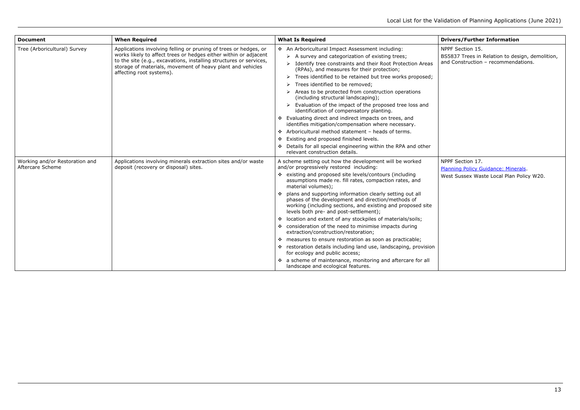| <b>Document</b>                                    | <b>When Required</b>                                                                                                                                                                                                                                                                                 | <b>What Is Required</b>                                                                                                                                                                                                                                                                                                                                                                                                                                                                                                                                                                                                                                                                                                                                                                                                                                                                                             |
|----------------------------------------------------|------------------------------------------------------------------------------------------------------------------------------------------------------------------------------------------------------------------------------------------------------------------------------------------------------|---------------------------------------------------------------------------------------------------------------------------------------------------------------------------------------------------------------------------------------------------------------------------------------------------------------------------------------------------------------------------------------------------------------------------------------------------------------------------------------------------------------------------------------------------------------------------------------------------------------------------------------------------------------------------------------------------------------------------------------------------------------------------------------------------------------------------------------------------------------------------------------------------------------------|
| Tree (Arboricultural) Survey                       | Applications involving felling or pruning of trees or hedges, or<br>works likely to affect trees or hedges either within or adjacent<br>to the site (e.g., excavations, installing structures or services,<br>storage of materials, movement of heavy plant and vehicles<br>affecting root systems). | ❖ An Arboricultural Impact Assessment including:<br>$\triangleright$ A survey and categorization of existing trees;<br>Identify tree constraints and their Root Protection Areas<br>$\blacktriangleright$<br>(RPAs), and measures for their protection;<br>Trees identified to be retained but tree works proposed;<br>➤<br>Trees identified to be removed;<br>Areas to be protected from construction operations<br>(including structural landscaping);<br>Evaluation of the impact of the proposed tree loss and<br>identification of compensatory planting.<br>* Evaluating direct and indirect impacts on trees, and<br>identifies mitigation/compensation where necessary.<br>Arboricultural method statement - heads of terms.<br>❖<br>Existing and proposed finished levels.<br>❖<br>Details for all special engineering within the RPA and other<br>❖<br>relevant construction details.                     |
| Working and/or Restoration and<br>Aftercare Scheme | Applications involving minerals extraction sites and/or waste<br>deposit (recovery or disposal) sites.                                                                                                                                                                                               | A scheme setting out how the development will be worked<br>and/or progressively restored including:<br>❖ existing and proposed site levels/contours (including<br>assumptions made re. fill rates, compaction rates, and<br>material volumes);<br>❖ plans and supporting information clearly setting out all<br>phases of the development and direction/methods of<br>working (including sections, and existing and proposed site<br>levels both pre- and post-settlement);<br>* location and extent of any stockpiles of materials/soils;<br>❖ consideration of the need to minimise impacts during<br>extraction/construction/restoration;<br>❖ measures to ensure restoration as soon as practicable;<br>❖ restoration details including land use, landscaping, provision<br>for ecology and public access;<br>* a scheme of maintenance, monitoring and aftercare for all<br>landscape and ecological features. |

NPPF Section 15. BS5837 Trees in Relation to design, demolition, and Construction – recommendations.

NPPF Section 17. [Planning Policy Guidance: Minerals.](https://www.gov.uk/guidance/minerals) West Sussex Waste Local Plan Policy W20.